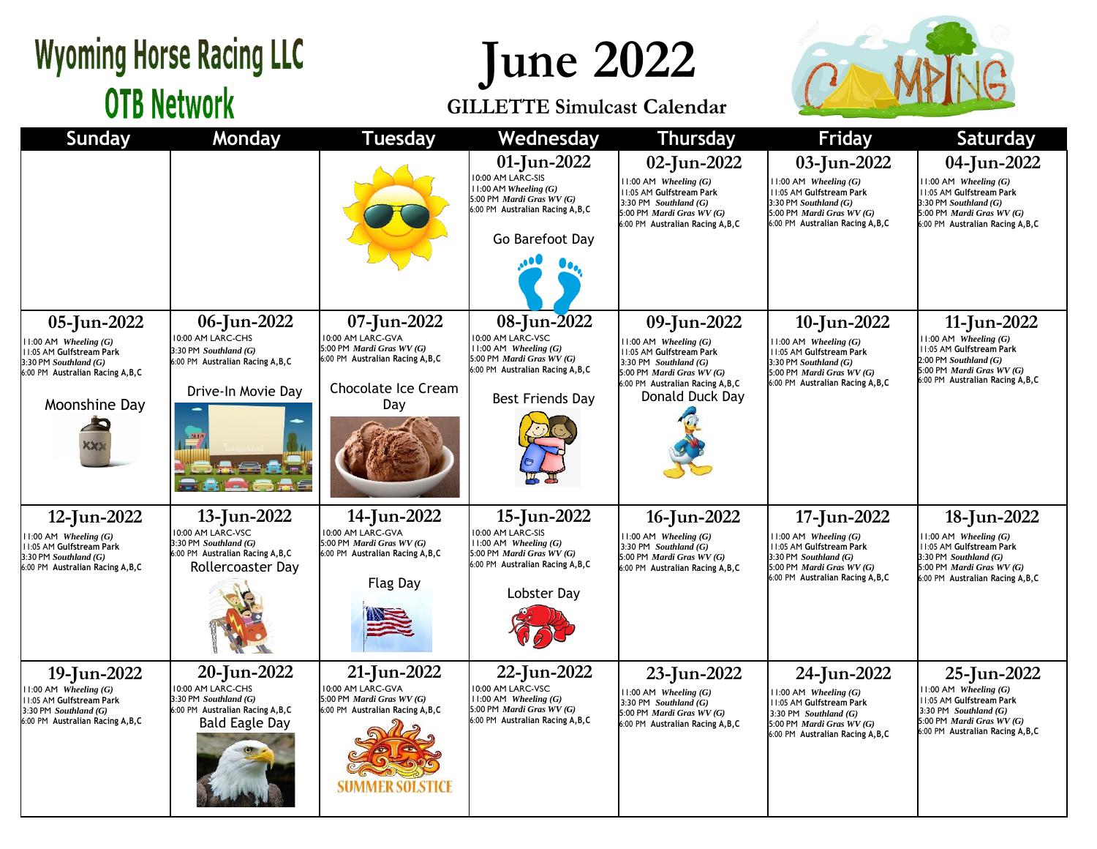### **Wyoming Horse Racing LLC OTB Network**

## **June 2022**

#### **GILLETTE Simulcast Calendar**



| <b>Sunday</b>                                                                                                                                           | Monday                                                                                                                   | <b>Tuesday</b>                                                                                                                    | Wednesday                                                                                                                                           | <b>Thursday</b>                                                                                                                                                                      | <b>Friday</b>                                                                                                                                                             | <b>Saturday</b>                                                                                                                                                            |
|---------------------------------------------------------------------------------------------------------------------------------------------------------|--------------------------------------------------------------------------------------------------------------------------|-----------------------------------------------------------------------------------------------------------------------------------|-----------------------------------------------------------------------------------------------------------------------------------------------------|--------------------------------------------------------------------------------------------------------------------------------------------------------------------------------------|---------------------------------------------------------------------------------------------------------------------------------------------------------------------------|----------------------------------------------------------------------------------------------------------------------------------------------------------------------------|
|                                                                                                                                                         |                                                                                                                          |                                                                                                                                   | 01-Jun-2022<br>10:00 AM LARC-SIS<br>$11:00$ AM Wheeling $(G)$<br>5:00 PM Mardi Gras WV (G)<br>6:00 PM Australian Racing A, B, C<br>Go Barefoot Day  | 02-Jun-2022<br>$11:00$ AM Wheeling $(G)$<br>11:05 AM Gulfstream Park<br>3:30 PM Southland $(G)$<br>5:00 PM Mardi Gras WV (G)<br>6:00 PM Australian Racing A, B, C                    | 03-Jun-2022<br>$1:00$ AM Wheeling $(G)$<br><b>11:05 AM Gulfstream Park</b><br>$3:30$ PM Southland $(G)$<br>5:00 PM Mardi Gras WV (G)<br>6:00 PM Australian Racing A, B, C | 04-Jun-2022<br>$11:00$ AM Wheeling $(G)$<br><b>11:05 AM Gulfstream Park</b><br>$3:30$ PM Southland $(G)$<br>5:00 PM Mardi Gras WV (G)<br>6:00 PM Australian Racing A, B, C |
| 05-Jun-2022<br>$11:00$ AM Wheeling $(G)$<br>11:05 AM Gulfstream Park<br>$3:30$ PM Southland $(G)$<br>6:00 PM Australian Racing A, B, C<br>Moonshine Day | 06-Jun-2022<br>10:00 AM LARC-CHS<br>$3:30$ PM Southland $(G)$<br>6:00 PM Australian Racing A, B, C<br>Drive-In Movie Day | 07-Jun-2022<br>10:00 AM LARC-GVA<br>5:00 PM Mardi Gras WV (G)<br>6:00 PM Australian Racing A, B, C<br>Chocolate Ice Cream<br>Day  | 08-Jun-2022<br>10:00 AM LARC-VSC<br>$11:00$ AM Wheeling $(G)$<br>5:00 PM Mardi Gras WV (G)<br>6:00 PM Australian Racing A, B, C<br>Best Friends Day | 09-Jun-2022<br>$11:00$ AM Wheeling $(G)$<br>11:05 AM Gulfstream Park<br>3:30 PM Southland $(G)$<br>5:00 PM Mardi Gras WV (G)<br>6:00 PM Australian Racing A, B, C<br>Donald Duck Day | 10-Jun-2022<br>$11:00$ AM Wheeling $(G)$<br>11:05 AM Gulfstream Park<br>$3:30$ PM Southland $(G)$<br>5:00 PM Mardi Gras WV (G)<br>6:00 PM Australian Racing A, B, C       | 11-Jun-2022<br>$11:00$ AM Wheeling $(G)$<br>11:05 AM Gulfstream Park<br>$2:00$ PM Southland $(G)$<br>5:00 PM Mardi Gras WV (G)<br>6:00 PM Australian Racing A, B, C        |
| 12-Jun-2022<br>$11:00$ AM Wheeling $(G)$<br>11:05 AM Gulfstream Park<br>$3:30$ PM Southland $(G)$<br>6:00 PM Australian Racing A, B, C                  | 13-Jun-2022<br>0:00 AM LARC-VSC<br>$3:30$ PM Southland $(G)$<br>6:00 PM Australian Racing A, B, C<br>Rollercoaster Day   | 14-Jun-2022<br>10:00 AM LARC-GVA<br>5:00 PM Mardi Gras WV (G)<br>6:00 PM Australian Racing A, B, C<br><b>Flag Day</b>             | 15-Jun-2022<br>10:00 AM LARC-SIS<br>$11:00$ AM Wheeling $(G)$<br>5:00 PM Mardi Gras WV (G)<br>6:00 PM Australian Racing A, B, C<br>Lobster Day      | 16-Jun-2022<br>$11:00$ AM Wheeling $(G)$<br>3:30 PM $Southland(G)$<br>5:00 PM Mardi Gras WV (G)<br>6:00 PM Australian Racing A, B, C                                                 | 17-Jun-2022<br>$11:00$ AM Wheeling $(G)$<br>11:05 AM Gulfstream Park<br>$3:30$ PM Southland $(G)$<br>5:00 PM Mardi Gras WV (G)<br>6:00 PM Australian Racing A, B, C       | 18-Jun-2022<br>$11:00$ AM Wheeling $(G)$<br>11:05 AM Gulfstream Park<br>$3:30$ PM Southland $(G)$<br>5:00 PM Mardi Gras WV (G)<br>6:00 PM Australian Racing A, B, C        |
| 19-Jun-2022<br>$11:00$ AM Wheeling $(G)$<br>11:05 AM Gulfstream Park<br>3:30 PM Southland (G)<br>6:00 PM Australian Racing A, B, C                      | 20-Jun-2022<br>10:00 AM LARC-CHS<br>3:30 PM Southland (G)<br>6:00 PM Australian Racing A, B, C<br><b>Bald Eagle Day</b>  | 21-Jun-2022<br>10:00 AM LARC-GVA<br>5:00 PM Mardi Gras WV (G)<br>6:00 PM Australian Racing A, B, C<br>SUMMER SOLSTIC <del>L</del> | 22-Jun-2022<br>10:00 AM LARC-VSC<br>11:00 AM Wheeling (G)<br>5:00 PM Mardi Gras WV (G)<br>6:00 PM Australian Racing A, B, C                         | 23-Jun-2022<br>$11:00$ AM Wheeling $(G)$<br>3:30 PM Southland $(G)$<br>5:00 PM Mardi Gras WV (G)<br>6:00 PM Australian Racing A, B, C                                                | 24-Jun-2022<br>$11:00$ AM Wheeling $(G)$<br>11:05 AM Gulfstream Park<br>3:30 PM Southland $(G)$<br>5:00 PM Mardi Gras WV (G)<br>6:00 PM Australian Racing A, B, C         | 25-Jun-2022<br>$11:00$ AM Wheeling $(G)$<br>11:05 AM Gulfstream Park<br>3:30 PM Southland $(G)$<br>5:00 PM Mardi Gras WV (G)<br>6:00 PM Australian Racing A, B, C          |